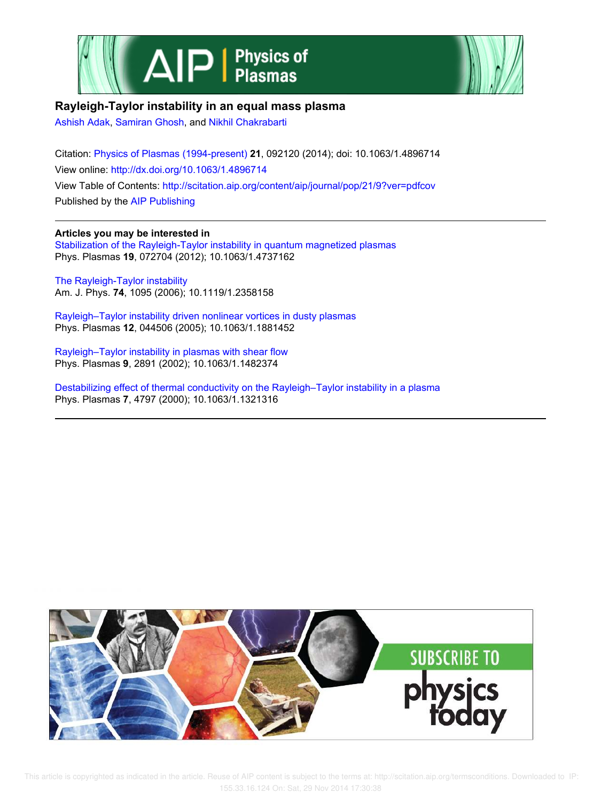



# **Rayleigh-Taylor instability in an equal mass plasma**

Ashish Adak, Samiran Ghosh, and Nikhil Chakrabarti

Citation: Physics of Plasmas (1994-present) **21**, 092120 (2014); doi: 10.1063/1.4896714 View online: http://dx.doi.org/10.1063/1.4896714 View Table of Contents: http://scitation.aip.org/content/aip/journal/pop/21/9?ver=pdfcov Published by the AIP Publishing

**Articles you may be interested in** Stabilization of the Rayleigh-Taylor instability in quantum magnetized plasmas Phys. Plasmas **19**, 072704 (2012); 10.1063/1.4737162

The Rayleigh-Taylor instability Am. J. Phys. **74**, 1095 (2006); 10.1119/1.2358158

Rayleigh–Taylor instability driven nonlinear vortices in dusty plasmas Phys. Plasmas **12**, 044506 (2005); 10.1063/1.1881452

Rayleigh–Taylor instability in plasmas with shear flow Phys. Plasmas **9**, 2891 (2002); 10.1063/1.1482374

Destabilizing effect of thermal conductivity on the Rayleigh–Taylor instability in a plasma Phys. Plasmas **7**, 4797 (2000); 10.1063/1.1321316



 This article is copyrighted as indicated in the article. Reuse of AIP content is subject to the terms at: http://scitation.aip.org/termsconditions. Downloaded to IP: 155.33.16.124 On: Sat, 29 Nov 2014 17:30:38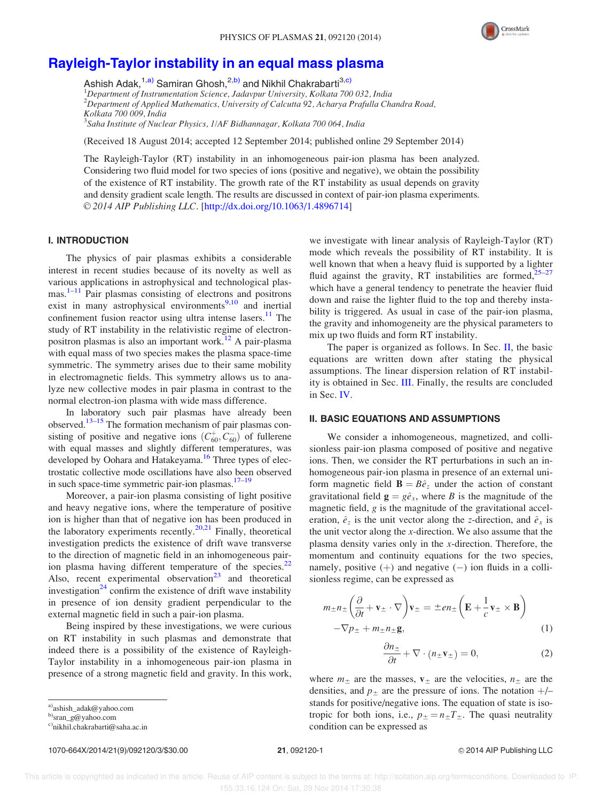

# Rayleigh-Taylor instability in an equal mass plasma

Ashish Adak, <sup>1,a)</sup> Samiran Ghosh, <sup>2,b)</sup> and Nikhil Chakrabarti<sup>3,c)</sup>  $1$ Department of Instrumentation Science, Jadavpur University, Kolkata 700 032, India  $2D$ epartment of Applied Mathematics, University of Calcutta 92, Acharya Prafulla Chandra Road, Kolkata 700 009, India

<sup>3</sup>Saha Institute of Nuclear Physics, 1/AF Bidhannagar, Kolkata 700 064, India

(Received 18 August 2014; accepted 12 September 2014; published online 29 September 2014)

The Rayleigh-Taylor (RT) instability in an inhomogeneous pair-ion plasma has been analyzed. Considering two fluid model for two species of ions (positive and negative), we obtain the possibility of the existence of RT instability. The growth rate of the RT instability as usual depends on gravity and density gradient scale length. The results are discussed in context of pair-ion plasma experiments. © 2014 AIP Publishing LLC. [http://dx.doi.org/10.1063/1.4896714]

## I. INTRODUCTION

The physics of pair plasmas exhibits a considerable interest in recent studies because of its novelty as well as various applications in astrophysical and technological plasmas.<sup>1–11</sup> Pair plasmas consisting of electrons and positrons exist in many astrophysical environments $9,10$  and inertial confinement fusion reactor using ultra intense lasers. $11$  The study of RT instability in the relativistic regime of electronpositron plasmas is also an important work.<sup>12</sup> A pair-plasma with equal mass of two species makes the plasma space-time symmetric. The symmetry arises due to their same mobility in electromagnetic fields. This symmetry allows us to analyze new collective modes in pair plasma in contrast to the normal electron-ion plasma with wide mass difference.

In laboratory such pair plasmas have already been observed.<sup>13–15</sup> The formation mechanism of pair plasmas consisting of positive and negative ions  $(C_{60}^+, C_{60}^-)$  of fullerene with equal masses and slightly different temperatures, was developed by Oohara and Hatakeyama.<sup>16</sup> Three types of electrostatic collective mode oscillations have also been observed in such space-time symmetric pair-ion plasmas. $17-19$ 

Moreover, a pair-ion plasma consisting of light positive and heavy negative ions, where the temperature of positive ion is higher than that of negative ion has been produced in the laboratory experiments recently.<sup>20,21</sup> Finally, theoretical investigation predicts the existence of drift wave transverse to the direction of magnetic field in an inhomogeneous pairion plasma having different temperature of the species. $^{22}$ Also, recent experimental observation<sup>23</sup> and theoretical investigation<sup>24</sup> confirm the existence of drift wave instability in presence of ion density gradient perpendicular to the external magnetic field in such a pair-ion plasma.

Being inspired by these investigations, we were curious on RT instability in such plasmas and demonstrate that indeed there is a possibility of the existence of Rayleigh-Taylor instability in a inhomogeneous pair-ion plasma in presence of a strong magnetic field and gravity. In this work,

1070-664X/2014/21(9)/092120/3/\$30.00 21, 092120-1 V<sup>C</sup> 2014 AIP Publishing LLC

we investigate with linear analysis of Rayleigh-Taylor (RT) mode which reveals the possibility of RT instability. It is well known that when a heavy fluid is supported by a lighter fluid against the gravity, RT instabilities are formed, $25-27$ which have a general tendency to penetrate the heavier fluid down and raise the lighter fluid to the top and thereby instability is triggered. As usual in case of the pair-ion plasma, the gravity and inhomogeneity are the physical parameters to mix up two fluids and form RT instability.

The paper is organized as follows. In Sec. II, the basic equations are written down after stating the physical assumptions. The linear dispersion relation of RT instability is obtained in Sec. III. Finally, the results are concluded in Sec. IV.

#### II. BASIC EQUATIONS AND ASSUMPTIONS

We consider a inhomogeneous, magnetized, and collisionless pair-ion plasma composed of positive and negative ions. Then, we consider the RT perturbations in such an inhomogeneous pair-ion plasma in presence of an external uniform magnetic field  $\mathbf{B} = B\hat{e}_z$  under the action of constant gravitational field  $\mathbf{g} = g\hat{e}_x$ , where B is the magnitude of the magnetic field, g is the magnitude of the gravitational acceleration,  $\hat{e}_z$  is the unit vector along the z-direction, and  $\hat{e}_x$  is the unit vector along the  $x$ -direction. We also assume that the plasma density varies only in the x-direction. Therefore, the momentum and continuity equations for the two species, namely, positive  $(+)$  and negative  $(-)$  ion fluids in a collisionless regime, can be expressed as

$$
m_{\pm}n_{\pm}\left(\frac{\partial}{\partial t} + \mathbf{v}_{\pm} \cdot \nabla\right)\mathbf{v}_{\pm} = \pm en_{\pm}\left(\mathbf{E} + \frac{1}{c}\mathbf{v}_{\pm} \times \mathbf{B}\right)
$$

$$
-\nabla p_{\pm} + m_{\pm}n_{\pm}\mathbf{g},\tag{1}
$$

$$
\frac{\partial n_{\pm}}{\partial t} + \nabla \cdot (n_{\pm} \mathbf{v}_{\pm}) = 0, \tag{2}
$$

where  $m_{\pm}$  are the masses,  $v_{\pm}$  are the velocities,  $n_{\pm}$  are the densities, and  $p_{\pm}$  are the pressure of ions. The notation  $+/$ stands for positive/negative ions. The equation of state is isotropic for both ions, i.e.,  $p_{\pm} = n_{\pm}T_{\pm}$ . The quasi neutrality condition can be expressed as

a)ashish\_adak@yahoo.com

b)sran\_g@yahoo.com

c)nikhil.chakrabarti@saha.ac.in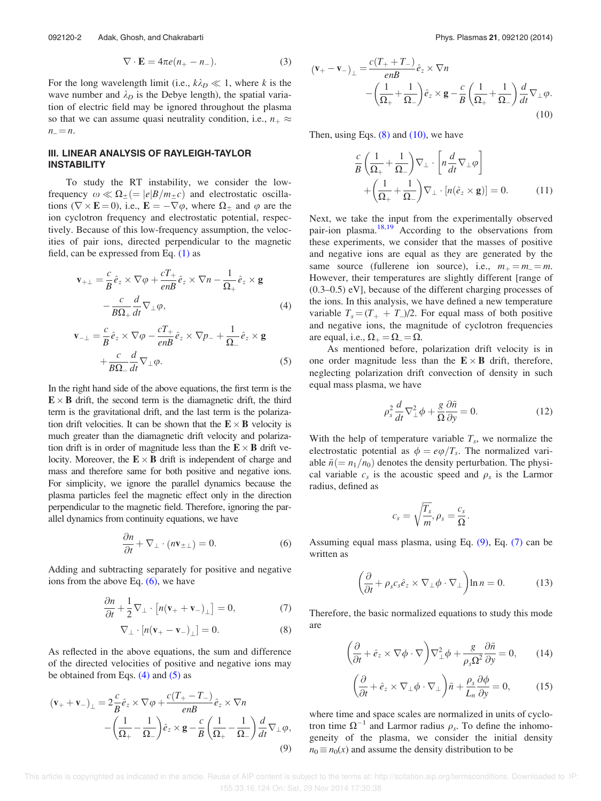$$
\nabla \cdot \mathbf{E} = 4\pi e(n_+ - n_-). \tag{3}
$$

For the long wavelength limit (i.e.,  $k\lambda_D \ll 1$ , where k is the wave number and  $\lambda_D$  is the Debye length), the spatial variation of electric field may be ignored throughout the plasma so that we can assume quasi neutrality condition, i.e.,  $n_+ \approx$  $n_{-} = n$ .

## III. LINEAR ANALYSIS OF RAYLEIGH-TAYLOR INSTABILITY

To study the RT instability, we consider the lowfrequency  $\omega \ll \Omega_{\pm} (=|e|B/m_{\pm}c)$  and electrostatic oscillations ( $\nabla \times \mathbf{E} = 0$ ), i.e.,  $\mathbf{E} = -\nabla \varphi$ , where  $\Omega_{\pm}$  and  $\varphi$  are the ion cyclotron frequency and electrostatic potential, respectively. Because of this low-frequency assumption, the velocities of pair ions, directed perpendicular to the magnetic field, can be expressed from Eq. (1) as

$$
\mathbf{v}_{+\perp} = \frac{c}{B} \hat{e}_z \times \nabla \varphi + \frac{cT_+}{enB} \hat{e}_z \times \nabla n - \frac{1}{\Omega_+} \hat{e}_z \times \mathbf{g}
$$

$$
-\frac{c}{B\Omega_+} \frac{d}{dt} \nabla_\perp \varphi,
$$
(4)

$$
\mathbf{v}_{-\perp} = \frac{c}{B} \hat{e}_z \times \nabla \varphi - \frac{cT_+}{enB} \hat{e}_z \times \nabla p_- + \frac{1}{\Omega_-} \hat{e}_z \times \mathbf{g}
$$

$$
+ \frac{c}{B\Omega_-} \frac{d}{dt} \nabla_\perp \varphi.
$$
(5)

In the right hand side of the above equations, the first term is the  $\mathbf{E} \times \mathbf{B}$  drift, the second term is the diamagnetic drift, the third term is the gravitational drift, and the last term is the polarization drift velocities. It can be shown that the  $E \times B$  velocity is much greater than the diamagnetic drift velocity and polarization drift is in order of magnitude less than the  $E \times B$  drift velocity. Moreover, the  $\mathbf{E} \times \mathbf{B}$  drift is independent of charge and mass and therefore same for both positive and negative ions. For simplicity, we ignore the parallel dynamics because the plasma particles feel the magnetic effect only in the direction perpendicular to the magnetic field. Therefore, ignoring the parallel dynamics from continuity equations, we have

$$
\frac{\partial n}{\partial t} + \nabla_{\perp} \cdot (n\mathbf{v}_{\pm\perp}) = 0. \tag{6}
$$

Adding and subtracting separately for positive and negative ions from the above Eq.  $(6)$ , we have

$$
\frac{\partial n}{\partial t} + \frac{1}{2} \nabla_{\perp} \cdot \left[ n(\mathbf{v}_{+} + \mathbf{v}_{-})_{\perp} \right] = 0, \tag{7}
$$

$$
\nabla_{\perp} \cdot \left[ n(\mathbf{v}_{+} - \mathbf{v}_{-})_{\perp} \right] = 0. \tag{8}
$$

As reflected in the above equations, the sum and difference of the directed velocities of positive and negative ions may be obtained from Eqs.  $(4)$  and  $(5)$  as

$$
(\mathbf{v}_{+} + \mathbf{v}_{-})_{\perp} = 2\frac{c}{B}\hat{e}_{z} \times \nabla\varphi + \frac{c(T_{+} - T_{-})}{enB}\hat{e}_{z} \times \nabla n
$$

$$
-\left(\frac{1}{\Omega_{+}} - \frac{1}{\Omega_{-}}\right)\hat{e}_{z} \times \mathbf{g} - \frac{c}{B}\left(\frac{1}{\Omega_{+}} - \frac{1}{\Omega_{-}}\right)\frac{d}{dt}\nabla_{\perp}\varphi,
$$

$$
(9)
$$

$$
(\mathbf{v}_{+} - \mathbf{v}_{-})_{\perp} = \frac{c(T_{+} + T_{-})}{enB} \hat{e}_{z} \times \nabla n
$$
  
 
$$
-\left(\frac{1}{\Omega_{+}} + \frac{1}{\Omega_{-}}\right) \hat{e}_{z} \times \mathbf{g} - \frac{c}{B} \left(\frac{1}{\Omega_{+}} + \frac{1}{\Omega_{-}}\right) \frac{d}{dt} \nabla_{\perp} \varphi.
$$
  
(10)

Then, using Eqs.  $(8)$  and  $(10)$ , we have

$$
\frac{c}{B} \left( \frac{1}{\Omega_+} + \frac{1}{\Omega_-} \right) \nabla_{\perp} \cdot \left[ n \frac{d}{dt} \nabla_{\perp} \varphi \right] + \left( \frac{1}{\Omega_+} + \frac{1}{\Omega_-} \right) \nabla_{\perp} \cdot \left[ n (\hat{e}_z \times \mathbf{g}) \right] = 0. \tag{11}
$$

Next, we take the input from the experimentally observed pair-ion plasma. $18,19$  According to the observations from these experiments, we consider that the masses of positive and negative ions are equal as they are generated by the same source (fullerene ion source), i.e.,  $m_+ = m_- = m$ . However, their temperatures are slightly different [range of (0.3–0.5) eV], because of the different charging processes of the ions. In this analysis, we have defined a new temperature variable  $T_s = (T_+ + T_-)/2$ . For equal mass of both positive and negative ions, the magnitude of cyclotron frequencies are equal, i.e.,  $\Omega_+ = \Omega_- = \Omega$ .

As mentioned before, polarization drift velocity is in one order magnitude less than the  $E \times B$  drift, therefore, neglecting polarization drift convection of density in such equal mass plasma, we have

$$
\rho_s^2 \frac{d}{dt} \nabla_\perp^2 \phi + \frac{g}{\Omega} \frac{\partial \tilde{n}}{\partial y} = 0.
$$
 (12)

With the help of temperature variable  $T_s$ , we normalize the electrostatic potential as  $\phi = e\varphi/T_s$ . The normalized variable  $\tilde{n} (=n_1/n_0)$  denotes the density perturbation. The physical variable  $c_s$  is the acoustic speed and  $\rho_s$  is the Larmor radius, defined as

$$
c_s = \sqrt{\frac{T_s}{m}}, \rho_s = \frac{c_s}{\Omega}.
$$

Assuming equal mass plasma, using Eq. (9), Eq. (7) can be written as

$$
\left(\frac{\partial}{\partial t} + \rho_s c_s \hat{e}_z \times \nabla_\perp \phi \cdot \nabla_\perp\right) \ln n = 0. \tag{13}
$$

Therefore, the basic normalized equations to study this mode are

$$
\left(\frac{\partial}{\partial t} + \hat{e}_z \times \nabla \phi \cdot \nabla\right) \nabla_{\perp}^2 \phi + \frac{g}{\rho_s \Omega^2} \frac{\partial \tilde{n}}{\partial y} = 0, \qquad (14)
$$

$$
\left(\frac{\partial}{\partial t} + \hat{e}_z \times \nabla_\perp \phi \cdot \nabla_\perp \right) \tilde{n} + \frac{\rho_s}{L_n} \frac{\partial \phi}{\partial y} = 0, \quad (15)
$$

where time and space scales are normalized in units of cyclotron time  $\Omega^{-1}$  and Larmor radius  $\rho_s$ . To define the inhomogeneity of the plasma, we consider the initial density  $n_0 \equiv n_0(x)$  and assume the density distribution to be

 This article is copyrighted as indicated in the article. Reuse of AIP content is subject to the terms at: http://scitation.aip.org/termsconditions. Downloaded to IP: 155.33.16.124 On: Sat, 29 Nov 2014 17:30:38